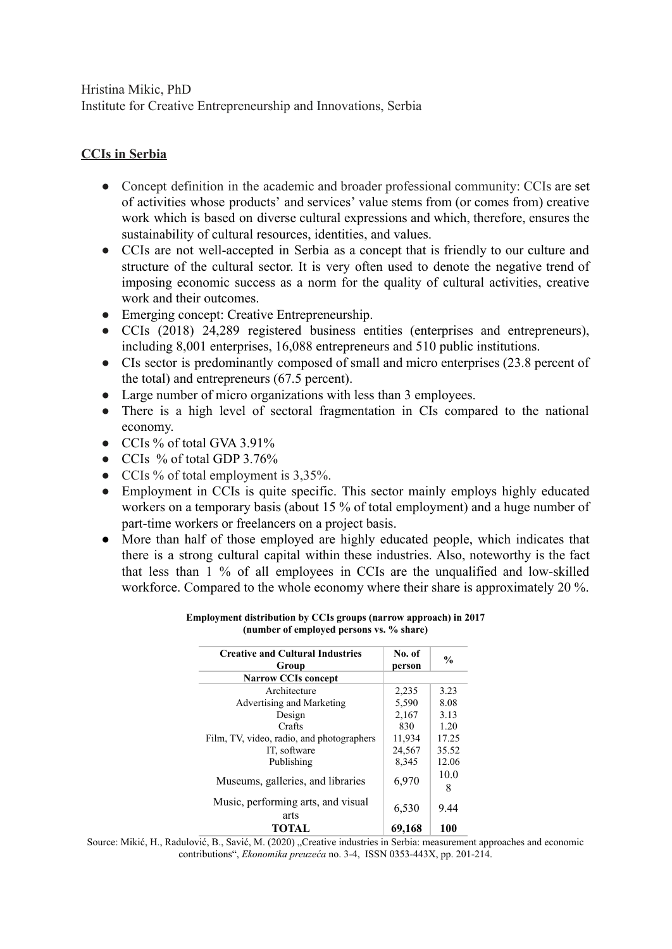Hristina Mikic, PhD Institute for Creative Entrepreneurship and Innovations, Serbia

# **CCIs in Serbia**

- Concept definition in the academic and broader professional community: CCIs are set of activities whose products' and services' value stems from (or comes from) creative work which is based on diverse cultural expressions and which, therefore, ensures the sustainability of cultural resources, identities, and values.
- CCIs are not well-accepted in Serbia as a concept that is friendly to our culture and structure of the cultural sector. It is very often used to denote the negative trend of imposing economic success as a norm for the quality of cultural activities, creative work and their outcomes.
- Emerging concept: Creative Entrepreneurship.
- CCIs (2018) 24,289 registered business entities (enterprises and entrepreneurs), including 8,001 enterprises, 16,088 entrepreneurs and 510 public institutions.
- CIs sector is predominantly composed of small and micro enterprises (23.8 percent of the total) and entrepreneurs (67.5 percent).
- Large number of micro organizations with less than 3 employees.
- There is a high level of sectoral fragmentation in CIs compared to the national economy.
- CCIs % of total GVA 3.91%
- CCIs % of total GDP 3.76%
- CCIs % of total employment is 3,35%.
- Employment in CCIs is quite specific. This sector mainly employs highly educated workers on a temporary basis (about 15 % of total employment) and a huge number of part-time workers or freelancers on a project basis.
- More than half of those employed are highly educated people, which indicates that there is a strong cultural capital within these industries. Also, noteworthy is the fact that less than 1 % of all employees in CCIs are the unqualified and low-skilled workforce. Compared to the whole economy where their share is approximately 20 %.

| <b>Creative and Cultural Industries</b><br>Group | No. of<br>person | $\frac{0}{0}$ |
|--------------------------------------------------|------------------|---------------|
| <b>Narrow CCIs concept</b>                       |                  |               |
| Architecture                                     | 2,235            | 3.23          |
| Advertising and Marketing                        | 5,590            | 8.08          |
| Design                                           | 2,167            | 3.13          |
| Crafts                                           | 830              | 1.20          |
| Film, TV, video, radio, and photographers        | 11,934           | 17.25         |
| IT, software                                     | 24,567           | 35.52         |
| Publishing                                       | 8,345            | 12.06         |
| Museums, galleries, and libraries                | 6,970            | 10.0<br>8     |
| Music, performing arts, and visual<br>arts       | 6,530            | 9.44          |
| <b>TOTAL</b>                                     | 69,168           | 100           |

#### **Employment distribution by CCIs groups (narrow approach) in 2017 (number of employed persons vs. % share)**

Source: Mikić, H., Radulović, B., Savić, M. (2020) "Creative industries in Serbia: measurement approaches and economic contributions", *Ekonomika preuzeća* no. 3-4, ISSN 0353-443X, pp. 201-214.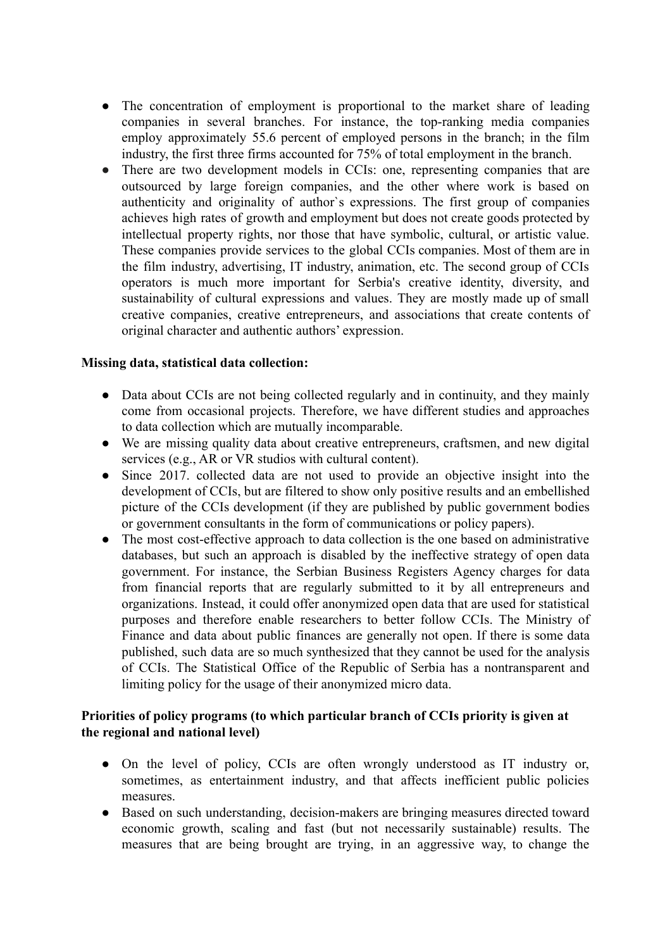- The concentration of employment is proportional to the market share of leading companies in several branches. For instance, the top-ranking media companies employ approximately 55.6 percent of employed persons in the branch; in the film industry, the first three firms accounted for 75% of total employment in the branch.
- There are two development models in CCIs: one, representing companies that are outsourced by large foreign companies, and the other where work is based on authenticity and originality of author`s expressions. The first group of companies achieves high rates of growth and employment but does not create goods protected by intellectual property rights, nor those that have symbolic, cultural, or artistic value. These companies provide services to the global CCIs companies. Most of them are in the film industry, advertising, IT industry, animation, etc. The second group of CCIs operators is much more important for Serbia's creative identity, diversity, and sustainability of cultural expressions and values. They are mostly made up of small creative companies, creative entrepreneurs, and associations that create contents of original character and authentic authors' expression.

## **Missing data, statistical data collection:**

- Data about CCIs are not being collected regularly and in continuity, and they mainly come from occasional projects. Therefore, we have different studies and approaches to data collection which are mutually incomparable.
- We are missing quality data about creative entrepreneurs, craftsmen, and new digital services (e.g., AR or VR studios with cultural content).
- Since 2017. collected data are not used to provide an objective insight into the development of CCIs, but are filtered to show only positive results and an embellished picture of the CCIs development (if they are published by public government bodies or government consultants in the form of communications or policy papers).
- The most cost-effective approach to data collection is the one based on administrative databases, but such an approach is disabled by the ineffective strategy of open data government. For instance, the Serbian Business Registers Agency charges for data from financial reports that are regularly submitted to it by all entrepreneurs and organizations. Instead, it could offer anonymized open data that are used for statistical purposes and therefore enable researchers to better follow CCIs. The Ministry of Finance and data about public finances are generally not open. If there is some data published, such data are so much synthesized that they cannot be used for the analysis of CCIs. The Statistical Office of the Republic of Serbia has a nontransparent and limiting policy for the usage of their anonymized micro data.

## **Priorities of policy programs (to which particular branch of CCIs priority is given at the regional and national level)**

- On the level of policy, CCIs are often wrongly understood as IT industry or, sometimes, as entertainment industry, and that affects inefficient public policies measures.
- Based on such understanding, decision-makers are bringing measures directed toward economic growth, scaling and fast (but not necessarily sustainable) results. The measures that are being brought are trying, in an aggressive way, to change the